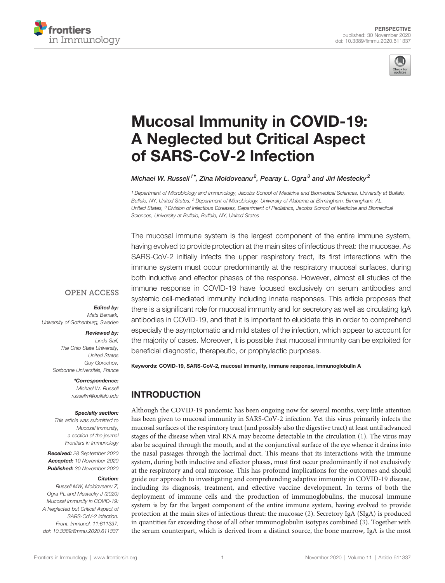



# [Mucosal Immunity in COVID-19:](https://www.frontiersin.org/articles/10.3389/fimmu.2020.611337/full) [A Neglected but Critical Aspect](https://www.frontiersin.org/articles/10.3389/fimmu.2020.611337/full) [of SARS-CoV-2 Infection](https://www.frontiersin.org/articles/10.3389/fimmu.2020.611337/full)

Michael W. Russell<sup>1\*</sup>, Zina Moldoveanu<sup>2</sup>, Pearay L. Ogra<sup>3</sup> and Jiri Mestecky<sup>2</sup>

<sup>1</sup> Department of Microbiology and Immunology, Jacobs School of Medicine and Biomedical Sciences, University at Buffalo, Buffalo, NY, United States, <sup>2</sup> Department of Microbiology, University of Alabama at Birmingham, Birmingham, AL, United States, <sup>3</sup> Division of Infectious Diseases, Department of Pediatrics, Jacobs School of Medicine and Biomedical Sciences, University at Buffalo, Buffalo, NY, United States

The mucosal immune system is the largest component of the entire immune system, having evolved to provide protection at the main sites of infectious threat: the mucosae. As SARS-CoV-2 initially infects the upper respiratory tract, its first interactions with the immune system must occur predominantly at the respiratory mucosal surfaces, during both inductive and effector phases of the response. However, almost all studies of the immune response in COVID-19 have focused exclusively on serum antibodies and systemic cell-mediated immunity including innate responses. This article proposes that there is a significant role for mucosal immunity and for secretory as well as circulating IgA antibodies in COVID-19, and that it is important to elucidate this in order to comprehend especially the asymptomatic and mild states of the infection, which appear to account for the majority of cases. Moreover, it is possible that mucosal immunity can be exploited for beneficial diagnostic, therapeutic, or prophylactic purposes.

## **OPEN ACCESS**

Edited by: Mats Bemark, University of Gothenburg, Sweden

#### Reviewed by:

Linda Saif, The Ohio State University, United States Guy Gorochov, Sorbonne Universités, France

#### \*Correspondence:

Michael W. Russell [russellm@buffalo.edu](mailto:russellm@buffalo.edu)

#### Specialty section:

This article was submitted to Mucosal Immunity, a section of the journal Frontiers in Immunology

Received: 28 September 2020 Accepted: 10 November 2020 Published: 30 November 2020

#### Citation:

Russell MW, Moldoveanu Z, Ogra PL and Mestecky J (2020) Mucosal Immunity in COVID-19: A Neglected but Critical Aspect of SARS-CoV-2 Infection. Front. Immunol. 11:611337. [doi: 10.3389/fimmu.2020.611337](https://doi.org/10.3389/fimmu.2020.611337)

Keywords: COVID-19, SARS-CoV-2, mucosal immunity, immune response, immunoglobulin A

## INTRODUCTION

Although the COVID-19 pandemic has been ongoing now for several months, very little attention has been given to mucosal immunity in SARS-CoV-2 infection. Yet this virus primarily infects the mucosal surfaces of the respiratory tract (and possibly also the digestive tract) at least until advanced stages of the disease when viral RNA may become detectable in the circulation [\(1\)](#page-3-0). The virus may also be acquired through the mouth, and at the conjunctival surface of the eye whence it drains into the nasal passages through the lacrimal duct. This means that its interactions with the immune system, during both inductive and effector phases, must first occur predominantly if not exclusively at the respiratory and oral mucosae. This has profound implications for the outcomes and should guide our approach to investigating and comprehending adaptive immunity in COVID-19 disease, including its diagnosis, treatment, and effective vaccine development. In terms of both the deployment of immune cells and the production of immunoglobulins, the mucosal immune system is by far the largest component of the entire immune system, having evolved to provide protection at the main sites of infectious threat: the mucosae [\(2\)](#page-3-0). Secretory IgA (SIgA) is produced in quantities far exceeding those of all other immunoglobulin isotypes combined [\(3](#page-3-0)). Together with the serum counterpart, which is derived from a distinct source, the bone marrow, IgA is the most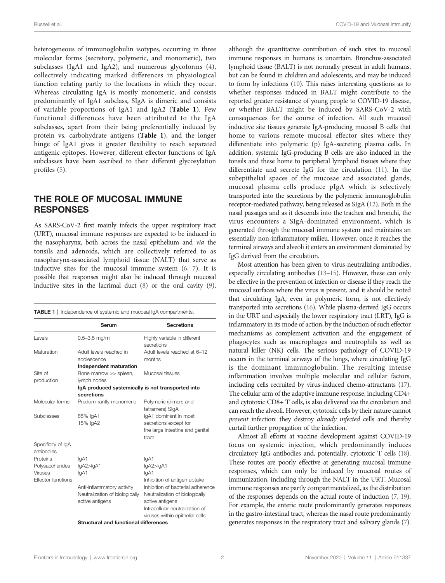heterogeneous of immunoglobulin isotypes, occurring in three molecular forms (secretory, polymeric, and monomeric), two subclasses (IgA1 and IgA2), and numerous glycoforms ([4\)](#page-3-0), collectively indicating marked differences in physiological function relating partly to the locations in which they occur. Whereas circulating IgA is mostly monomeric, and consists predominantly of IgA1 subclass, SIgA is dimeric and consists of variable proportions of IgA1 and IgA2 (Table 1). Few functional differences have been attributed to the IgA subclasses, apart from their being preferentially induced by protein vs. carbohydrate antigens (Table 1), and the longer hinge of IgA1 gives it greater flexibility to reach separated antigenic epitopes. However, different effector functions of IgA subclasses have been ascribed to their different glycosylation profiles [\(5](#page-3-0)).

### THE ROLE OF MUCOSAL IMMUNE **RESPONSES**

As SARS-CoV-2 first mainly infects the upper respiratory tract (URT), mucosal immune responses are expected to be induced in the nasopharynx, both across the nasal epithelium and via the tonsils and adenoids, which are collectively referred to as nasopharynx-associated lymphoid tissue (NALT) that serve as inductive sites for the mucosal immune system ([6](#page-3-0), [7](#page-3-0)). It is possible that responses might also be induced through mucosal inductive sites in the lacrimal duct [\(8\)](#page-3-0) or the oral cavity ([9\)](#page-3-0),

|  |  |  |  | TABLE 1   Independence of systemic and mucosal IgA compartments. |
|--|--|--|--|------------------------------------------------------------------|
|--|--|--|--|------------------------------------------------------------------|

|                                  | Serum                                             | <b>Secretions</b>                          |  |  |
|----------------------------------|---------------------------------------------------|--------------------------------------------|--|--|
| Levels                           | $0.5 - 3.5$ mg/ml                                 | Highly variable in different<br>secretions |  |  |
| Maturation                       | Adult levels reached in<br>adolescence            | Adult levels reached at 6-12<br>months     |  |  |
|                                  | Independent maturation                            |                                            |  |  |
| Site of                          | Bone marrow >> spleen,                            | Mucosal tissues                            |  |  |
| production                       | lymph nodes                                       |                                            |  |  |
|                                  | IgA produced systemically is not transported into |                                            |  |  |
|                                  | secretions                                        |                                            |  |  |
| Molecular forms                  | Predominantly monomeric                           | Polymeric (dimers and<br>tetramers) SIgA   |  |  |
| Subclasses                       | 85% IgA1                                          | IgA1 dominant in most                      |  |  |
|                                  | 15% IgA2                                          | secretions except for                      |  |  |
|                                  |                                                   | the large intestine and genital            |  |  |
|                                  |                                                   | tract                                      |  |  |
| Specificity of IgA<br>antibodies |                                                   |                                            |  |  |
| Proteins                         | lgA1                                              | lgA1                                       |  |  |
| Polysaccharides                  | lgA2>lgA1                                         | lgA2>lgA1                                  |  |  |
| <b>Viruses</b>                   | lgA1                                              | lgA1                                       |  |  |
| Effector functions               |                                                   | Inhibition of antigen uptake               |  |  |
|                                  | Anti-inflammatory activity                        | Inhibition of bacterial adherence          |  |  |
|                                  | Neutralization of biologically                    | Neutralization of biologically             |  |  |
|                                  | active antigens                                   | active antigens                            |  |  |
|                                  |                                                   | Intracellular neutralization of            |  |  |
|                                  |                                                   | viruses within epithelial cells            |  |  |
|                                  | <b>Structural and functional differences</b>      |                                            |  |  |

although the quantitative contribution of such sites to mucosal immune responses in humans is uncertain. Bronchus-associated lymphoid tissue (BALT) is not normally present in adult humans, but can be found in children and adolescents, and may be induced to form by infections [\(10](#page-3-0)). This raises interesting questions as to whether responses induced in BALT might contribute to the reported greater resistance of young people to COVID-19 disease, or whether BALT might be induced by SARS-CoV-2 with consequences for the course of infection. All such mucosal inductive site tissues generate IgA-producing mucosal B cells that home to various remote mucosal effector sites where they differentiate into polymeric (p) IgA-secreting plasma cells. In addition, systemic IgG-producing B cells are also induced in the tonsils and these home to peripheral lymphoid tissues where they differentiate and secrete IgG for the circulation ([11\)](#page-3-0). In the subepithelial spaces of the mucosae and associated glands, mucosal plasma cells produce pIgA which is selectively transported into the secretions by the polymeric immunoglobulin receptor-mediated pathway, being released as SIgA ([12\)](#page-4-0). Both in the nasal passages and as it descends into the trachea and bronchi, the virus encounters a SIgA-dominated environment, which is generated through the mucosal immune system and maintains an essentially non-inflammatory milieu. However, once it reaches the terminal airways and alveoli it enters an environment dominated by IgG derived from the circulation.

Most attention has been given to virus-neutralizing antibodies, especially circulating antibodies [\(13](#page-4-0)–[15](#page-4-0)). However, these can only be effective in the prevention of infection or disease if they reach the mucosal surfaces where the virus is present, and it should be noted that circulating IgA, even in polymeric form, is not effectively transported into secretions ([16\)](#page-4-0). While plasma-derived IgG occurs in the URT and especially the lower respiratory tract (LRT), IgG is inflammatory in its mode of action, by the induction of such effector mechanisms as complement activation and the engagement of phagocytes such as macrophages and neutrophils as well as natural killer (NK) cells. The serious pathology of COVID-19 occurs in the terminal airways of the lungs, where circulating IgG is the dominant immunoglobulin. The resulting intense inflammation involves multiple molecular and cellular factors, including cells recruited by virus-induced chemo-attractants [\(17\)](#page-4-0). The cellular arm of the adaptive immune response, including CD4+ and cytotoxic CD8+ T cells, is also delivered via the circulation and can reach the alveoli. However, cytotoxic cells by their nature cannot prevent infection: they destroy already infected cells and thereby curtail further propagation of the infection.

Almost all efforts at vaccine development against COVID-19 focus on systemic injection, which predominantly induces circulatory IgG antibodies and, potentially, cytotoxic T cells [\(18\)](#page-4-0). These routes are poorly effective at generating mucosal immune responses, which can only be induced by mucosal routes of immunization, including through the NALT in the URT. Mucosal immune responses are partly compartmentalized, as the distribution of the responses depends on the actual route of induction ([7](#page-3-0), [19\)](#page-4-0). For example, the enteric route predominantly generates responses in the gastro-intestinal tract, whereas the nasal route predominantly generates responses in the respiratory tract and salivary glands [\(7\)](#page-3-0).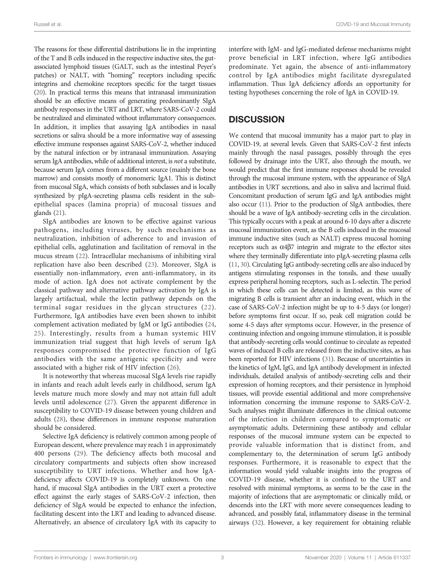The reasons for these differential distributions lie in the imprinting of the T and B cells induced in the respective inductive sites, the gutassociated lymphoid tissues (GALT, such as the intestinal Peyer's patches) or NALT, with "homing" receptors including specific integrins and chemokine receptors specific for the target tissues [\(20](#page-4-0)). In practical terms this means that intranasal immunization should be an effective means of generating predominantly SIgA antibody responses in the URT and LRT, where SARS-CoV-2 could be neutralized and eliminated without inflammatory consequences. In addition, it implies that assaying IgA antibodies in nasal secretions or saliva should be a more informative way of assessing effective immune responses against SARS-CoV-2, whether induced by the natural infection or by intranasal immunization. Assaying serum IgA antibodies, while of additional interest, is not a substitute, because serum IgA comes from a different source (mainly the bone marrow) and consists mostly of monomeric IgA1. This is distinct from mucosal SIgA, which consists of both subclasses and is locally synthesized by pIgA-secreting plasma cells resident in the subepithelial spaces (lamina propria) of mucosal tissues and glands [\(21](#page-4-0)).

SIgA antibodies are known to be effective against various pathogens, including viruses, by such mechanisms as neutralization, inhibition of adherence to and invasion of epithelial cells, agglutination and facilitation of removal in the mucus stream [\(22](#page-4-0)). Intracellular mechanisms of inhibiting viral replication have also been described ([23\)](#page-4-0). Moreover, SIgA is essentially non-inflammatory, even anti-inflammatory, in its mode of action. IgA does not activate complement by the classical pathway and alternative pathway activation by IgA is largely artifactual, while the lectin pathway depends on the terminal sugar residues in the glycan structures ([22](#page-4-0)). Furthermore, IgA antibodies have even been shown to inhibit complement activation mediated by IgM or IgG antibodies ([24](#page-4-0), [25](#page-4-0)). Interestingly, results from a human systemic HIV immunization trial suggest that high levels of serum IgA responses compromised the protective function of IgG antibodies with the same antigenic specificity and were associated with a higher risk of HIV infection [\(26](#page-4-0)).

It is noteworthy that whereas mucosal SIgA levels rise rapidly in infants and reach adult levels early in childhood, serum IgA levels mature much more slowly and may not attain full adult levels until adolescence [\(27](#page-4-0)). Given the apparent difference in susceptibility to COVID-19 disease between young children and adults [\(28\)](#page-4-0), these differences in immune response maturation should be considered.

Selective IgA deficiency is relatively common among people of European descent, where prevalence may reach 1 in approximately 400 persons [\(29\)](#page-4-0). The deficiency affects both mucosal and circulatory compartments and subjects often show increased susceptibility to URT infections. Whether and how IgAdeficiency affects COVID-19 is completely unknown. On one hand, if mucosal SIgA antibodies in the URT exert a protective effect against the early stages of SARS-CoV-2 infection, then deficiency of SIgA would be expected to enhance the infection, facilitating descent into the LRT and leading to advanced disease. Alternatively, an absence of circulatory IgA with its capacity to

interfere with IgM- and IgG-mediated defense mechanisms might prove beneficial in LRT infection, where IgG antibodies predominate. Yet again, the absence of anti-inflammatory control by IgA antibodies might facilitate dysregulated inflammation. Thus IgA deficiency affords an opportunity for testing hypotheses concerning the role of IgA in COVID-19.

## **DISCUSSION**

We contend that mucosal immunity has a major part to play in COVID-19, at several levels. Given that SARS-CoV-2 first infects mainly through the nasal passages, possibly through the eyes followed by drainage into the URT, also through the mouth, we would predict that the first immune responses should be revealed through the mucosal immune system, with the appearance of SIgA antibodies in URT secretions, and also in saliva and lacrimal fluid. Concomitant production of serum IgG and IgA antibodies might also occur [\(11\)](#page-3-0). Prior to the production of SIgA antibodies, there should be a wave of IgA antibody-secreting cells in the circulation. This typically occurs with a peak at around 6-10 days after a discrete mucosal immunization event, as the B cells induced in the mucosal immune inductive sites (such as NALT) express mucosal homing receptors such as  $\alpha$ 4 $\beta$ 7 integrin and migrate to the effector sites where they terminally differentiate into pIgA-secreting plasma cells [\(11,](#page-3-0) [30](#page-4-0)). Circulating IgG antibody-secreting cells are also induced by antigens stimulating responses in the tonsils, and these usually express peripheral homing receptors, such as L-selectin. The period in which these cells can be detected is limited, as this wave of migrating B cells is transient after an inducing event, which in the case of SARS-CoV-2 infection might be up to 4-5 days (or longer) before symptoms first occur. If so, peak cell migration could be some 4-5 days after symptoms occur. However, in the presence of continuing infection and ongoing immune stimulation, it is possible that antibody-secreting cells would continue to circulate as repeated waves of induced B cells are released from the inductive sites, as has been reported for HIV infections [\(31](#page-4-0)). Because of uncertainties in the kinetics of IgM, IgG, and IgA antibody development in infected individuals, detailed analysis of antibody-secreting cells and their expression of homing receptors, and their persistence in lymphoid tissues, will provide essential additional and more comprehensive information concerning the immune response to SARS-CoV-2. Such analyses might illuminate differences in the clinical outcome of the infection in children compared to symptomatic or asymptomatic adults. Determining these antibody and cellular responses of the mucosal immune system can be expected to provide valuable information that is distinct from, and complementary to, the determination of serum IgG antibody responses. Furthermore, it is reasonable to expect that the information would yield valuable insights into the progress of COVID-19 disease, whether it is confined to the URT and resolved with minimal symptoms, as seems to be the case in the majority of infections that are asymptomatic or clinically mild, or descends into the LRT with more severe consequences leading to advanced, and possibly fatal, inflammatory disease in the terminal airways [\(32](#page-4-0)). However, a key requirement for obtaining reliable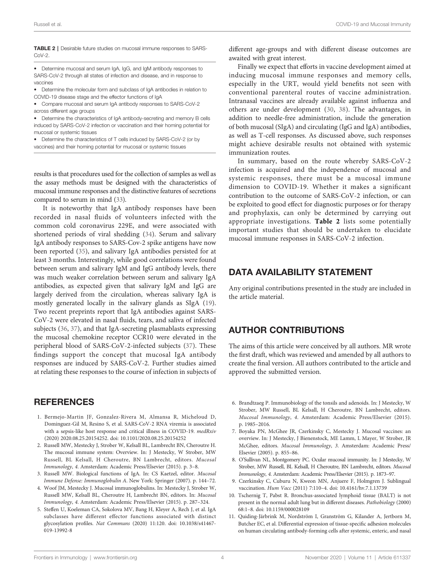#### <span id="page-3-0"></span>TABLE 2 | Desirable future studies on mucosal immune responses to SARS- $C_0V-2$

• Determine mucosal and serum IgA, IgG, and IgM antibody responses to SARS-CoV-2 through all states of infection and disease, and in response to vaccines

• Determine the molecular form and subclass of IgA antibodies in relation to COVID-19 disease stage and the effector functions of IgA

• Compare mucosal and serum IgA antibody responses to SARS-CoV-2 across different age groups

• Determine the characteristics of IgA antibody-secreting and memory B cells induced by SARS-CoV-2 infection or vaccination and their homing potential for mucosal or systemic tissues

• Determine the characteristics of T cells induced by SARS-CoV-2 (or by vaccines) and their homing potential for mucosal or systemic tissues

results is that procedures used for the collection of samples as well as the assay methods must be designed with the characteristics of mucosal immune responses and the distinctive features of secretions compared to serum in mind [\(33](#page-4-0)).

It is noteworthy that IgA antibody responses have been recorded in nasal fluids of volunteers infected with the common cold coronavirus 229E, and were associated with shortened periods of viral shedding [\(34](#page-4-0)). Serum and salivary IgA antibody responses to SARS-Cov-2 spike antigens have now been reported [\(35](#page-4-0)), and salivary IgA antibodies persisted for at least 3 months. Interestingly, while good correlations were found between serum and salivary IgM and IgG antibody levels, there was much weaker correlation between serum and salivary IgA antibodies, as expected given that salivary IgM and IgG are largely derived from the circulation, whereas salivary IgA is mostly generated locally in the salivary glands as SIgA ([19\)](#page-4-0). Two recent preprints report that IgA antibodies against SARS-CoV-2 were elevated in nasal fluids, tears, and saliva of infected subjects ([36,](#page-4-0) [37\)](#page-4-0), and that IgA-secreting plasmablasts expressing the mucosal chemokine receptor CCR10 were elevated in the peripheral blood of SARS-CoV-2-infected subjects ([37\)](#page-4-0). These findings support the concept that mucosal IgA antibody responses are induced by SARS-CoV-2. Further studies aimed at relating these responses to the course of infection in subjects of

## **REFERENCES**

- 1. Bermejo-Martin JF, Gonzalez-Rivera M, Almansa R, Micheloud D, Dominguez-Gil M, Resino S, et al. SARS-CoV-2 RNA viremia is associated with a sepsis-like host response and critical illness in COVID-19. medRxiv (2020) 2020.08.25.20154252. doi: [10.1101/2020.08.25.20154252](https://doi.org/10.1101/2020.08.25.20154252)
- 2. Russell MW, Mestecky J, Strober W, Kelsall BL, Lambrecht BN, Cheroutre H. The mucosal immune system: Overview. In: J Mestecky, W Strober, MW Russell, BL Kelsall, H Cheroutre, BN Lambrecht, editors. Mucosal Immunology, 4. Amsterdam: Academic Press/Elsevier (2015). p. 3–8.
- 3. Russell MW. Biological functions of IgA. In: CS Kaetzel, editor. Mucosal Immune Defense: Immunoglobulin A. New York: Springer (2007). p. 144–72.
- 4. Woof JM, Mestecky J. Mucosal immunoglobulins. In: Mestecky J, Strober W, Russell MW, Kelsall BL, Cheroutre H, Lambrecht BN, editors. In: Mucosal Immunology, 4. Amsterdam: Academic Press/Elsevier (2015). p. 287–324.
- 5. Steffen U, Koeleman CA, Sokolova MV, Bang H, Kleyer A, Rech J, et al. IgA subclasses have different effector functions associated with distinct glycosylation profiles. Nat Communs (2020) 11:120. doi: [10.1038/s41467-](https://doi.org/10.1038/s41467-019-13992-8) [019-13992-8](https://doi.org/10.1038/s41467-019-13992-8)

different age-groups and with different disease outcomes are awaited with great interest.

Finally we expect that efforts in vaccine development aimed at inducing mucosal immune responses and memory cells, especially in the URT, would yield benefits not seen with conventional parenteral routes of vaccine administration. Intranasal vaccines are already available against influenza and others are under development [\(30,](#page-4-0) [38\)](#page-4-0). The advantages, in addition to needle-free administration, include the generation of both mucosal (SIgA) and circulating (IgG and IgA) antibodies, as well as T-cell responses. As discussed above, such responses might achieve desirable results not obtained with systemic immunization routes.

In summary, based on the route whereby SARS-CoV-2 infection is acquired and the independence of mucosal and systemic responses, there must be a mucosal immune dimension to COVID-19. Whether it makes a significant contribution to the outcome of SARS-CoV-2 infection, or can be exploited to good effect for diagnostic purposes or for therapy and prophylaxis, can only be determined by carrying out appropriate investigations. Table 2 lists some potentially important studies that should be undertaken to elucidate mucosal immune responses in SARS-CoV-2 infection.

### DATA AVAILABILITY STATEMENT

Any original contributions presented in the study are included in the article material.

### AUTHOR CONTRIBUTIONS

The aims of this article were conceived by all authors. MR wrote the first draft, which was reviewed and amended by all authors to create the final version. All authors contributed to the article and approved the submitted version.

- 6. Brandtzaeg P. Immunobiology of the tonsils and adenoids. In: J Mestecky, W Strober, MW Russell, BL Kelsall, H Cheroutre, BN Lambrecht, editors. Mucosal Immunology, 4. Amsterdam: Academic Press/Elsevier (2015). p. 1985–2016.
- 7. Boyaka PN, McGhee JR, Czerkinsky C, Mestecky J. Mucosal vaccines: an overview. In: J Mestecky, J Bienenstock, ME Lamm, L Mayer, W Strober, JR McGhee, editors. Mucosal Immunology, 3. Amsterdam: Academic Press/ Elsevier (2005). p. 855–86.
- 8. O'Sullivan NL, Montgomery PC. Ocular mucosal immunity. In: J Mestecky, W Strober, MW Russell, BL Kelsall, H Cheroutre, BN Lambrecht, editors. Mucosal Immunology, 4. Amsterdam: Academic Press/Elsevier (2015). p. 1873–97.
- 9. Czerkinsky C, Cuburu N, Kweon MN, Anjuere F, Holmgren J. Sublingual vaccination. Hum Vacc (2011) 7:110–4. doi: [10.4161/hv.7.1.13739](https://doi.org/10.4161/hv.7.1.13739)
- 10. Tschernig T, Pabst R. Bronchus-associated lymphoid tissue (BALT) is not present in the normal adult lung but in different diseases. Pathobiology (2000) 68:1–8. doi: [10.1159/000028109](https://doi.org/10.1159/000028109)
- 11. Quiding-Järbrink M, Nordström I, Granström G, Kilander A, Jertborn M, Butcher EC, et al. Differential expression of tissue-specific adhesion molecules on human circulating antibody-forming cells after systemic, enteric, and nasal